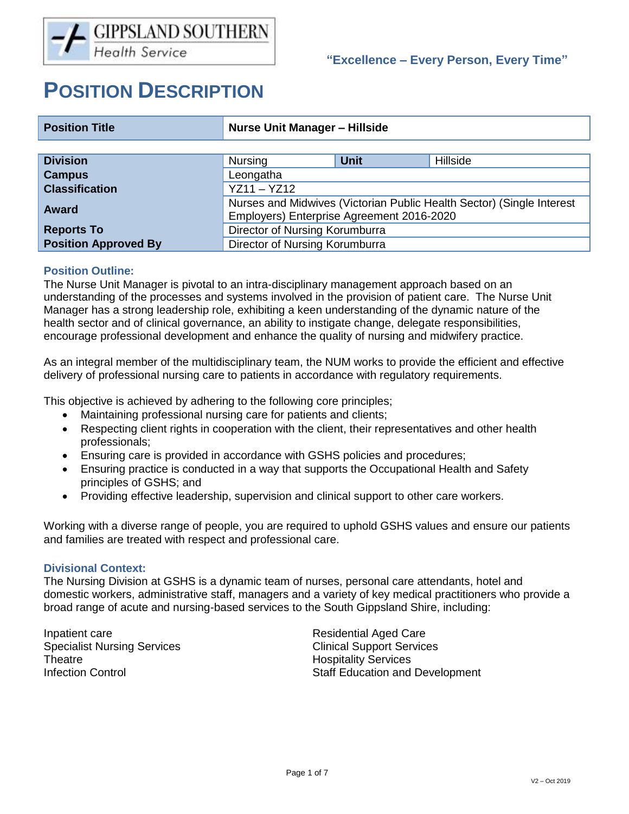# **POSITION DESCRIPTION**

| <b>Position Title</b>       | <b>Nurse Unit Manager - Hillside</b>                                                                               |             |          |  |
|-----------------------------|--------------------------------------------------------------------------------------------------------------------|-------------|----------|--|
|                             |                                                                                                                    |             |          |  |
| <b>Division</b>             | <b>Nursing</b>                                                                                                     | <b>Unit</b> | Hillside |  |
| <b>Campus</b>               | Leongatha                                                                                                          |             |          |  |
| <b>Classification</b>       | $YZ11 - YZ12$                                                                                                      |             |          |  |
| <b>Award</b>                | Nurses and Midwives (Victorian Public Health Sector) (Single Interest<br>Employers) Enterprise Agreement 2016-2020 |             |          |  |
| <b>Reports To</b>           | Director of Nursing Korumburra                                                                                     |             |          |  |
| <b>Position Approved By</b> | Director of Nursing Korumburra                                                                                     |             |          |  |

# **Position Outline:**

The Nurse Unit Manager is pivotal to an intra-disciplinary management approach based on an understanding of the processes and systems involved in the provision of patient care. The Nurse Unit Manager has a strong leadership role, exhibiting a keen understanding of the dynamic nature of the health sector and of clinical governance, an ability to instigate change, delegate responsibilities, encourage professional development and enhance the quality of nursing and midwifery practice.

As an integral member of the multidisciplinary team, the NUM works to provide the efficient and effective delivery of professional nursing care to patients in accordance with regulatory requirements.

This objective is achieved by adhering to the following core principles;

- Maintaining professional nursing care for patients and clients;
- Respecting client rights in cooperation with the client, their representatives and other health professionals;
- Ensuring care is provided in accordance with GSHS policies and procedures;
- Ensuring practice is conducted in a way that supports the Occupational Health and Safety principles of GSHS; and
- Providing effective leadership, supervision and clinical support to other care workers.

Working with a diverse range of people, you are required to uphold GSHS values and ensure our patients and families are treated with respect and professional care.

## **Divisional Context:**

The Nursing Division at GSHS is a dynamic team of nurses, personal care attendants, hotel and domestic workers, administrative staff, managers and a variety of key medical practitioners who provide a broad range of acute and nursing-based services to the South Gippsland Shire, including:

Inpatient care **Residential Aged Care** Specialist Nursing Services Clinical Support Services Theatre **Hospitality** Services

Infection Control Staff Education and Development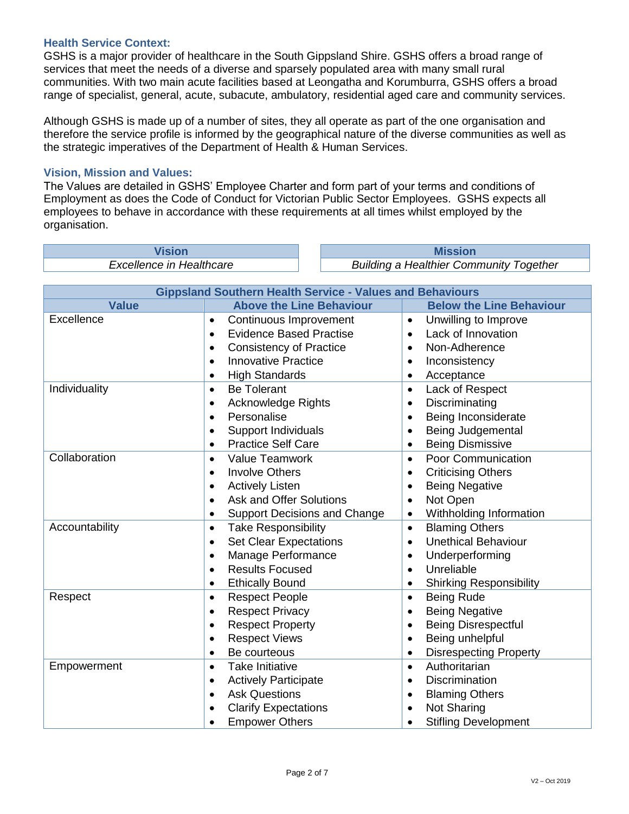## **Health Service Context:**

GSHS is a major provider of healthcare in the South Gippsland Shire. GSHS offers a broad range of services that meet the needs of a diverse and sparsely populated area with many small rural communities. With two main acute facilities based at Leongatha and Korumburra, GSHS offers a broad range of specialist, general, acute, subacute, ambulatory, residential aged care and community services.

Although GSHS is made up of a number of sites, they all operate as part of the one organisation and therefore the service profile is informed by the geographical nature of the diverse communities as well as the strategic imperatives of the Department of Health & Human Services.

## **Vision, Mission and Values:**

The Values are detailed in GSHS' Employee Charter and form part of your terms and conditions of Employment as does the Code of Conduct for Victorian Public Sector Employees. GSHS expects all employees to behave in accordance with these requirements at all times whilst employed by the organisation.

**Vision Mission**

*Excellence in Healthcare Building a Healthier Community Together*

| <b>Gippsland Southern Health Service - Values and Behaviours</b> |                                                  |                                             |  |  |  |
|------------------------------------------------------------------|--------------------------------------------------|---------------------------------------------|--|--|--|
| <b>Value</b>                                                     | <b>Above the Line Behaviour</b>                  | <b>Below the Line Behaviour</b>             |  |  |  |
| Excellence                                                       | Continuous Improvement<br>$\bullet$              | Unwilling to Improve<br>$\bullet$           |  |  |  |
|                                                                  | <b>Evidence Based Practise</b><br>$\bullet$      | Lack of Innovation<br>$\bullet$             |  |  |  |
|                                                                  | <b>Consistency of Practice</b><br>$\bullet$      | Non-Adherence<br>$\bullet$                  |  |  |  |
|                                                                  | <b>Innovative Practice</b><br>$\bullet$          | Inconsistency                               |  |  |  |
|                                                                  | <b>High Standards</b><br>٠                       | Acceptance<br>$\bullet$                     |  |  |  |
| Individuality                                                    | <b>Be Tolerant</b><br>$\bullet$                  | Lack of Respect<br>$\bullet$                |  |  |  |
|                                                                  | Acknowledge Rights<br>$\bullet$                  | Discriminating<br>$\bullet$                 |  |  |  |
|                                                                  | Personalise<br>$\bullet$                         | Being Inconsiderate<br>$\bullet$            |  |  |  |
|                                                                  | <b>Support Individuals</b><br>$\bullet$          | Being Judgemental                           |  |  |  |
|                                                                  | <b>Practice Self Care</b><br>$\bullet$           | <b>Being Dismissive</b>                     |  |  |  |
| Collaboration                                                    | <b>Value Teamwork</b><br>$\bullet$               | Poor Communication<br>$\bullet$             |  |  |  |
|                                                                  | <b>Involve Others</b><br>$\bullet$               | <b>Criticising Others</b><br>$\bullet$      |  |  |  |
|                                                                  | <b>Actively Listen</b><br>$\bullet$              | <b>Being Negative</b>                       |  |  |  |
|                                                                  | <b>Ask and Offer Solutions</b><br>$\bullet$      | Not Open<br>$\bullet$                       |  |  |  |
|                                                                  | <b>Support Decisions and Change</b><br>$\bullet$ | Withholding Information<br>$\bullet$        |  |  |  |
| Accountability                                                   | <b>Take Responsibility</b><br>$\bullet$          | <b>Blaming Others</b><br>$\bullet$          |  |  |  |
|                                                                  | <b>Set Clear Expectations</b><br>$\bullet$       | <b>Unethical Behaviour</b><br>$\bullet$     |  |  |  |
|                                                                  | Manage Performance<br>$\bullet$                  | Underperforming<br>$\bullet$                |  |  |  |
|                                                                  | <b>Results Focused</b><br>$\bullet$              | Unreliable                                  |  |  |  |
|                                                                  | <b>Ethically Bound</b><br>$\bullet$              | <b>Shirking Responsibility</b><br>$\bullet$ |  |  |  |
| Respect                                                          | <b>Respect People</b><br>$\bullet$               | <b>Being Rude</b><br>$\bullet$              |  |  |  |
|                                                                  | <b>Respect Privacy</b><br>$\bullet$              | <b>Being Negative</b><br>$\bullet$          |  |  |  |
|                                                                  | <b>Respect Property</b><br>$\bullet$             | <b>Being Disrespectful</b><br>$\bullet$     |  |  |  |
|                                                                  | <b>Respect Views</b><br>$\bullet$                | Being unhelpful<br>$\bullet$                |  |  |  |
|                                                                  | Be courteous<br>$\bullet$                        | <b>Disrespecting Property</b>               |  |  |  |
| Empowerment                                                      | <b>Take Initiative</b><br>$\bullet$              | Authoritarian<br>$\bullet$                  |  |  |  |
|                                                                  | <b>Actively Participate</b><br>$\bullet$         | <b>Discrimination</b><br>$\bullet$          |  |  |  |
|                                                                  | <b>Ask Questions</b><br>$\bullet$                | <b>Blaming Others</b>                       |  |  |  |
|                                                                  | <b>Clarify Expectations</b><br>$\bullet$         | Not Sharing                                 |  |  |  |
|                                                                  | <b>Empower Others</b>                            | <b>Stifling Development</b>                 |  |  |  |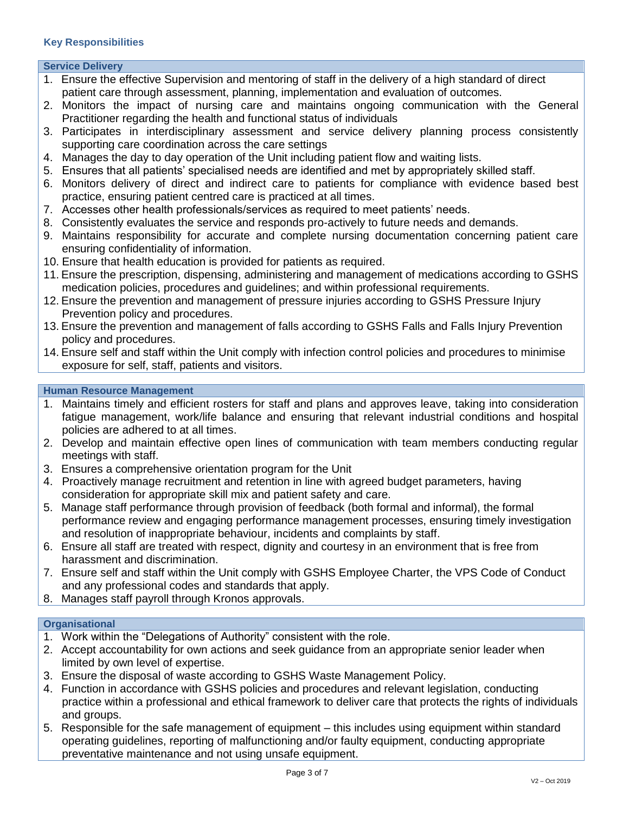## **Service Delivery**

- 1. Ensure the effective Supervision and mentoring of staff in the delivery of a high standard of direct patient care through assessment, planning, implementation and evaluation of outcomes.
- 2. Monitors the impact of nursing care and maintains ongoing communication with the General Practitioner regarding the health and functional status of individuals
- 3. Participates in interdisciplinary assessment and service delivery planning process consistently supporting care coordination across the care settings
- 4. Manages the day to day operation of the Unit including patient flow and waiting lists.
- 5. Ensures that all patients' specialised needs are identified and met by appropriately skilled staff.
- 6. Monitors delivery of direct and indirect care to patients for compliance with evidence based best practice, ensuring patient centred care is practiced at all times.
- 7. Accesses other health professionals/services as required to meet patients' needs.
- 8. Consistently evaluates the service and responds pro-actively to future needs and demands.
- 9. Maintains responsibility for accurate and complete nursing documentation concerning patient care ensuring confidentiality of information.
- 10. Ensure that health education is provided for patients as required.
- 11. Ensure the prescription, dispensing, administering and management of medications according to GSHS medication policies, procedures and guidelines; and within professional requirements.
- 12. Ensure the prevention and management of pressure injuries according to GSHS Pressure Injury Prevention policy and procedures.
- 13. Ensure the prevention and management of falls according to GSHS Falls and Falls Injury Prevention policy and procedures.
- 14. Ensure self and staff within the Unit comply with infection control policies and procedures to minimise exposure for self, staff, patients and visitors.

## **Human Resource Management**

- 1. Maintains timely and efficient rosters for staff and plans and approves leave, taking into consideration fatigue management, work/life balance and ensuring that relevant industrial conditions and hospital policies are adhered to at all times.
- 2. Develop and maintain effective open lines of communication with team members conducting regular meetings with staff.
- 3. Ensures a comprehensive orientation program for the Unit
- 4. Proactively manage recruitment and retention in line with agreed budget parameters, having consideration for appropriate skill mix and patient safety and care.
- 5. Manage staff performance through provision of feedback (both formal and informal), the formal performance review and engaging performance management processes, ensuring timely investigation and resolution of inappropriate behaviour, incidents and complaints by staff.
- 6. Ensure all staff are treated with respect, dignity and courtesy in an environment that is free from harassment and discrimination.
- 7. Ensure self and staff within the Unit comply with GSHS Employee Charter, the VPS Code of Conduct and any professional codes and standards that apply.
- 8. Manages staff payroll through Kronos approvals.

#### **Organisational**

- 1. Work within the "Delegations of Authority" consistent with the role.
- 2. Accept accountability for own actions and seek guidance from an appropriate senior leader when limited by own level of expertise.
- 3. Ensure the disposal of waste according to GSHS Waste Management Policy.
- 4. Function in accordance with GSHS policies and procedures and relevant legislation, conducting practice within a professional and ethical framework to deliver care that protects the rights of individuals and groups.
- 5. Responsible for the safe management of equipment this includes using equipment within standard operating guidelines, reporting of malfunctioning and/or faulty equipment, conducting appropriate preventative maintenance and not using unsafe equipment.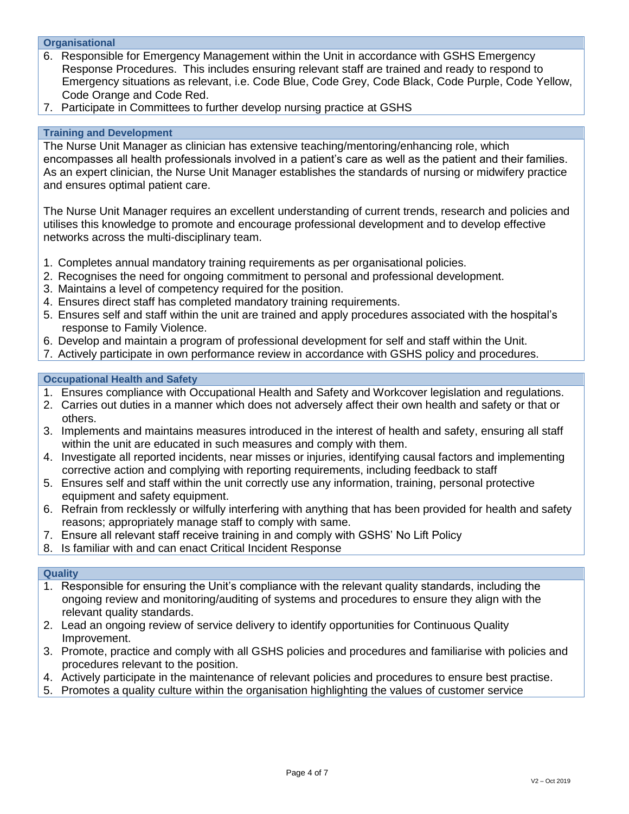# **Organisational**

- 6. Responsible for Emergency Management within the Unit in accordance with GSHS Emergency Response Procedures. This includes ensuring relevant staff are trained and ready to respond to Emergency situations as relevant, i.e. Code Blue, Code Grey, Code Black, Code Purple, Code Yellow, Code Orange and Code Red.
- 7. Participate in Committees to further develop nursing practice at GSHS

#### **Training and Development**

The Nurse Unit Manager as clinician has extensive teaching/mentoring/enhancing role, which encompasses all health professionals involved in a patient's care as well as the patient and their families. As an expert clinician, the Nurse Unit Manager establishes the standards of nursing or midwifery practice and ensures optimal patient care.

The Nurse Unit Manager requires an excellent understanding of current trends, research and policies and utilises this knowledge to promote and encourage professional development and to develop effective networks across the multi-disciplinary team.

- 1. Completes annual mandatory training requirements as per organisational policies.
- 2. Recognises the need for ongoing commitment to personal and professional development.
- 3. Maintains a level of competency required for the position.
- 4. Ensures direct staff has completed mandatory training requirements.
- 5. Ensures self and staff within the unit are trained and apply procedures associated with the hospital's response to Family Violence.
- 6. Develop and maintain a program of professional development for self and staff within the Unit.
- 7. Actively participate in own performance review in accordance with GSHS policy and procedures.

#### **Occupational Health and Safety**

- 1. Ensures compliance with Occupational Health and Safety and Workcover legislation and regulations.
- 2. Carries out duties in a manner which does not adversely affect their own health and safety or that or others.
- 3. Implements and maintains measures introduced in the interest of health and safety, ensuring all staff within the unit are educated in such measures and comply with them.
- 4. Investigate all reported incidents, near misses or injuries, identifying causal factors and implementing corrective action and complying with reporting requirements, including feedback to staff
- 5. Ensures self and staff within the unit correctly use any information, training, personal protective equipment and safety equipment.
- 6. Refrain from recklessly or wilfully interfering with anything that has been provided for health and safety reasons; appropriately manage staff to comply with same.
- 7. Ensure all relevant staff receive training in and comply with GSHS' No Lift Policy
- 8. Is familiar with and can enact Critical Incident Response

#### **Quality**

- 1. Responsible for ensuring the Unit's compliance with the relevant quality standards, including the ongoing review and monitoring/auditing of systems and procedures to ensure they align with the relevant quality standards.
- 2. Lead an ongoing review of service delivery to identify opportunities for Continuous Quality Improvement.
- 3. Promote, practice and comply with all GSHS policies and procedures and familiarise with policies and procedures relevant to the position.
- 4. Actively participate in the maintenance of relevant policies and procedures to ensure best practise.
- 5. Promotes a quality culture within the organisation highlighting the values of customer service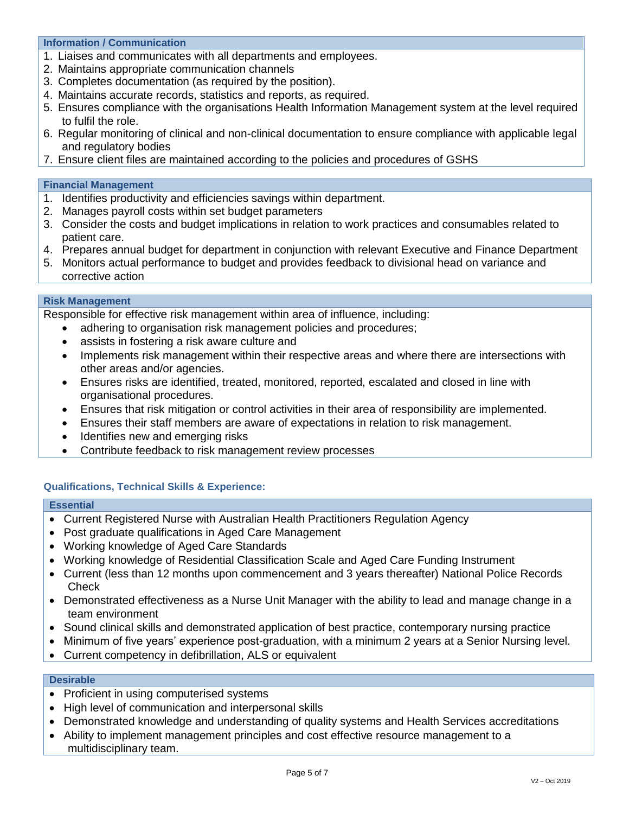#### **Information / Communication**

- 1. Liaises and communicates with all departments and employees.
- 2. Maintains appropriate communication channels
- 3. Completes documentation (as required by the position).
- 4. Maintains accurate records, statistics and reports, as required.
- 5. Ensures compliance with the organisations Health Information Management system at the level required to fulfil the role.
- 6. Regular monitoring of clinical and non-clinical documentation to ensure compliance with applicable legal and regulatory bodies
- 7. Ensure client files are maintained according to the policies and procedures of GSHS

#### **Financial Management**

- 1. Identifies productivity and efficiencies savings within department.
- 2. Manages payroll costs within set budget parameters
- 3. Consider the costs and budget implications in relation to work practices and consumables related to patient care.
- 4. Prepares annual budget for department in conjunction with relevant Executive and Finance Department
- 5. Monitors actual performance to budget and provides feedback to divisional head on variance and corrective action

## **Risk Management**

Responsible for effective risk management within area of influence, including:

- adhering to organisation risk management policies and procedures;
- assists in fostering a risk aware culture and
- Implements risk management within their respective areas and where there are intersections with other areas and/or agencies.
- Ensures risks are identified, treated, monitored, reported, escalated and closed in line with organisational procedures.
- Ensures that risk mitigation or control activities in their area of responsibility are implemented.
- Ensures their staff members are aware of expectations in relation to risk management.
- Identifies new and emerging risks
- Contribute feedback to risk management review processes

## **Qualifications, Technical Skills & Experience:**

#### **Essential**

- Current Registered Nurse with Australian Health Practitioners Regulation Agency
- Post graduate qualifications in Aged Care Management
- Working knowledge of Aged Care Standards
- Working knowledge of Residential Classification Scale and Aged Care Funding Instrument
- Current (less than 12 months upon commencement and 3 years thereafter) National Police Records **Check**
- Demonstrated effectiveness as a Nurse Unit Manager with the ability to lead and manage change in a team environment
- Sound clinical skills and demonstrated application of best practice, contemporary nursing practice
- Minimum of five years' experience post-graduation, with a minimum 2 years at a Senior Nursing level.
- Current competency in defibrillation, ALS or equivalent

# **Desirable**

- Proficient in using computerised systems
- High level of communication and interpersonal skills
- Demonstrated knowledge and understanding of quality systems and Health Services accreditations
- Ability to implement management principles and cost effective resource management to a multidisciplinary team.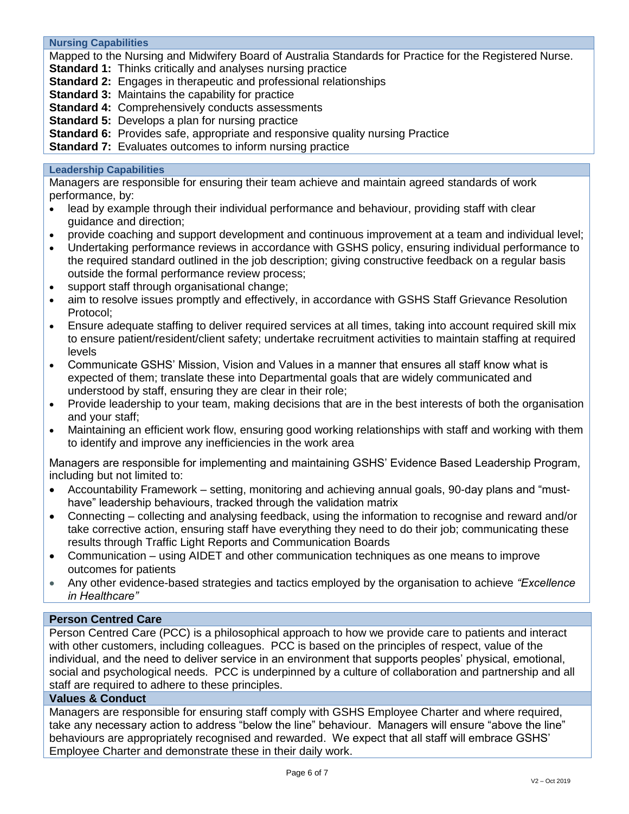**Nursing Capabilities**

Mapped to the Nursing and Midwifery Board of Australia Standards for Practice for the Registered Nurse.

**Standard 1:** Thinks critically and analyses nursing practice

**Standard 2:** Engages in therapeutic and professional relationships

**Standard 3:** Maintains the capability for practice

**Standard 4:** Comprehensively conducts assessments

**Standard 5:** Develops a plan for nursing practice

**Standard 6:** Provides safe, appropriate and responsive quality nursing Practice

**Standard 7:** Evaluates outcomes to inform nursing practice

## **Leadership Capabilities**

Managers are responsible for ensuring their team achieve and maintain agreed standards of work performance, by:

- lead by example through their individual performance and behaviour, providing staff with clear guidance and direction;
- provide coaching and support development and continuous improvement at a team and individual level;
- Undertaking performance reviews in accordance with GSHS policy, ensuring individual performance to the required standard outlined in the job description; giving constructive feedback on a regular basis outside the formal performance review process;
- support staff through organisational change;
- aim to resolve issues promptly and effectively, in accordance with GSHS Staff Grievance Resolution Protocol;
- Ensure adequate staffing to deliver required services at all times, taking into account required skill mix to ensure patient/resident/client safety; undertake recruitment activities to maintain staffing at required levels
- Communicate GSHS' Mission, Vision and Values in a manner that ensures all staff know what is expected of them; translate these into Departmental goals that are widely communicated and understood by staff, ensuring they are clear in their role;
- Provide leadership to your team, making decisions that are in the best interests of both the organisation and your staff;
- Maintaining an efficient work flow, ensuring good working relationships with staff and working with them to identify and improve any inefficiencies in the work area

Managers are responsible for implementing and maintaining GSHS' Evidence Based Leadership Program, including but not limited to:

- Accountability Framework setting, monitoring and achieving annual goals, 90-day plans and "musthave" leadership behaviours, tracked through the validation matrix
- Connecting collecting and analysing feedback, using the information to recognise and reward and/or take corrective action, ensuring staff have everything they need to do their job; communicating these results through Traffic Light Reports and Communication Boards
- Communication using AIDET and other communication techniques as one means to improve outcomes for patients
- Any other evidence-based strategies and tactics employed by the organisation to achieve *"Excellence in Healthcare"*

## **Person Centred Care**

Person Centred Care (PCC) is a philosophical approach to how we provide care to patients and interact with other customers, including colleagues. PCC is based on the principles of respect, value of the individual, and the need to deliver service in an environment that supports peoples' physical, emotional, social and psychological needs. PCC is underpinned by a culture of collaboration and partnership and all staff are required to adhere to these principles.

# **Values & Conduct**

Managers are responsible for ensuring staff comply with GSHS Employee Charter and where required, take any necessary action to address "below the line" behaviour. Managers will ensure "above the line" behaviours are appropriately recognised and rewarded. We expect that all staff will embrace GSHS' Employee Charter and demonstrate these in their daily work.